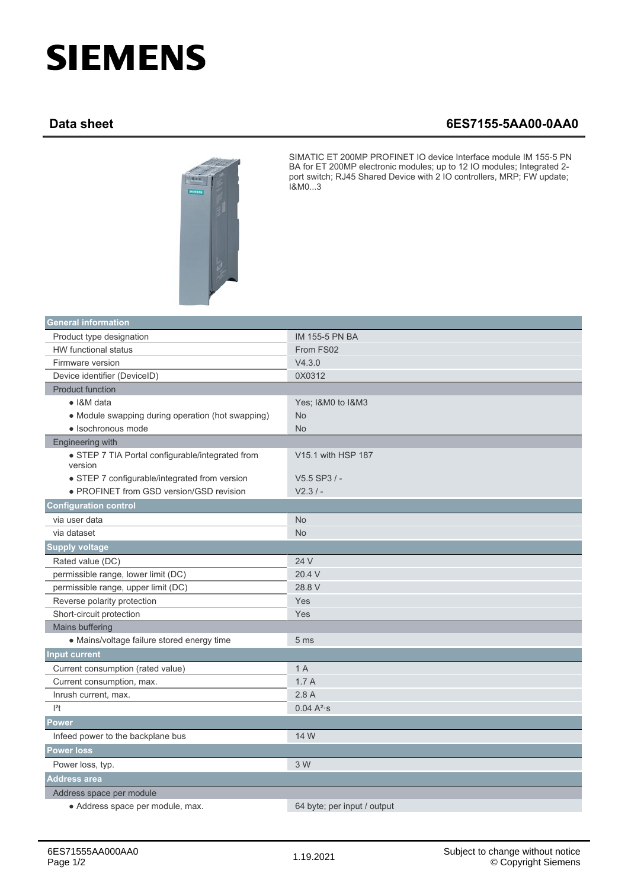## **SIEMENS**

## **Data sheet 6ES7155-5AA00-0AA0**



SIMATIC ET 200MP PROFINET IO device Interface module IM 155-5 PN BA for ET 200MP electronic modules; up to 12 IO modules; Integrated 2 port switch; RJ45 Shared Device with 2 IO controllers, MRP; FW update; I&M0...3

| <b>General information</b>                                  |                             |
|-------------------------------------------------------------|-----------------------------|
| Product type designation                                    | <b>IM 155-5 PN BA</b>       |
| <b>HW</b> functional status                                 | From FS02                   |
| Firmware version                                            | V4.3.0                      |
| Device identifier (DeviceID)                                | 0X0312                      |
| <b>Product function</b>                                     |                             |
| • I&M data                                                  | Yes; I&M0 to I&M3           |
| • Module swapping during operation (hot swapping)           | <b>No</b>                   |
| · Isochronous mode                                          | <b>No</b>                   |
| Engineering with                                            |                             |
| • STEP 7 TIA Portal configurable/integrated from<br>version | V15.1 with HSP 187          |
| • STEP 7 configurable/integrated from version               | V5.5 SP3 / -                |
| • PROFINET from GSD version/GSD revision                    | $V2.3/ -$                   |
| <b>Configuration control</b>                                |                             |
| via user data                                               | <b>No</b>                   |
| via dataset                                                 | <b>No</b>                   |
| <b>Supply voltage</b>                                       |                             |
| Rated value (DC)                                            | 24 V                        |
| permissible range, lower limit (DC)                         | 20.4 V                      |
| permissible range, upper limit (DC)                         | 28.8 V                      |
| Reverse polarity protection                                 | Yes                         |
| Short-circuit protection                                    | Yes                         |
| Mains buffering                                             |                             |
| • Mains/voltage failure stored energy time                  | 5 <sub>ms</sub>             |
| <b>Input current</b>                                        |                             |
| Current consumption (rated value)                           | 1A                          |
| Current consumption, max.                                   | 1.7A                        |
| Inrush current, max.                                        | 2.8A                        |
| $ ^{2}t$                                                    | $0.04 A^{2}$ s              |
| <b>Power</b>                                                |                             |
| Infeed power to the backplane bus                           | 14 W                        |
| <b>Power loss</b>                                           |                             |
| Power loss, typ.                                            | 3 W                         |
| <b>Address area</b>                                         |                             |
| Address space per module                                    |                             |
| · Address space per module, max.                            | 64 byte; per input / output |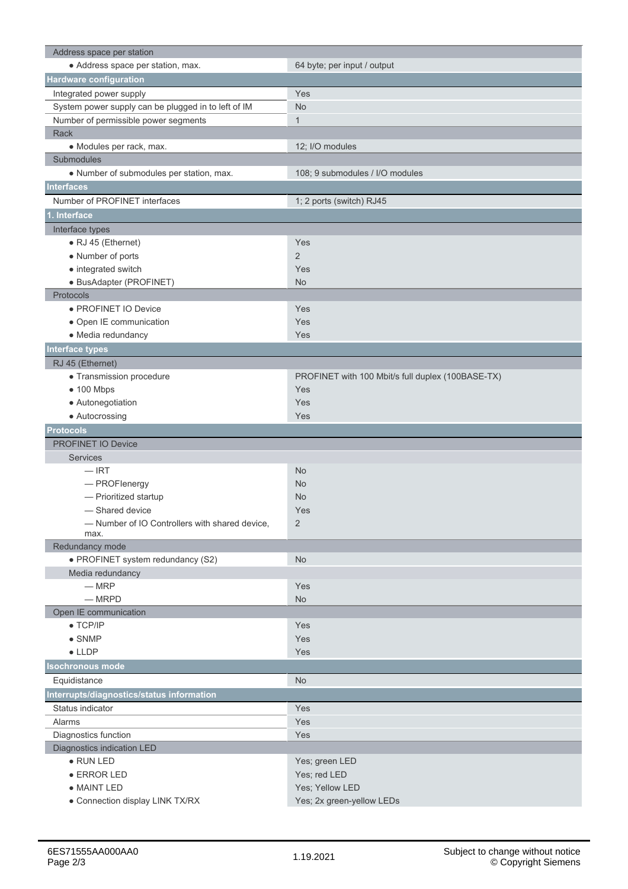| Address space per station                           |                                                   |
|-----------------------------------------------------|---------------------------------------------------|
| • Address space per station, max.                   | 64 byte; per input / output                       |
| Hardware configuration                              |                                                   |
| Integrated power supply                             | Yes                                               |
| System power supply can be plugged in to left of IM | <b>No</b>                                         |
| Number of permissible power segments                | $\mathbf{1}$                                      |
| Rack                                                |                                                   |
| · Modules per rack, max.                            | 12; I/O modules                                   |
| Submodules                                          |                                                   |
| • Number of submodules per station, max.            | 108; 9 submodules / I/O modules                   |
| <b>Interfaces</b>                                   |                                                   |
| Number of PROFINET interfaces                       | 1; 2 ports (switch) RJ45                          |
| . Interface                                         |                                                   |
| Interface types                                     |                                                   |
| • RJ 45 (Ethernet)                                  | Yes                                               |
| • Number of ports                                   | $\overline{2}$                                    |
| • integrated switch                                 | Yes                                               |
| · BusAdapter (PROFINET)                             | No                                                |
| Protocols                                           |                                                   |
| · PROFINET IO Device                                |                                                   |
|                                                     | Yes                                               |
| • Open IE communication                             | Yes                                               |
| • Media redundancy                                  | <b>Yes</b>                                        |
| <b>Interface types</b>                              |                                                   |
| RJ 45 (Ethernet)                                    |                                                   |
| • Transmission procedure                            | PROFINET with 100 Mbit/s full duplex (100BASE-TX) |
| $\bullet$ 100 Mbps                                  | Yes                                               |
| • Autonegotiation                                   | Yes                                               |
| • Autocrossing                                      | Yes                                               |
|                                                     |                                                   |
| <b>Protocols</b>                                    |                                                   |
| <b>PROFINET IO Device</b>                           |                                                   |
| <b>Services</b>                                     |                                                   |
| $-$ IRT                                             | No                                                |
| - PROFlenergy                                       | <b>No</b>                                         |
| - Prioritized startup                               | <b>No</b>                                         |
| - Shared device                                     | Yes                                               |
| -Number of IO Controllers with shared device,       | 2                                                 |
| max.                                                |                                                   |
| Redundancy mode                                     |                                                   |
| · PROFINET system redundancy (S2)                   | <b>No</b>                                         |
| Media redundancy                                    |                                                   |
| $-MRP$                                              | Yes                                               |
| $-MRPD$                                             | <b>No</b>                                         |
| Open IE communication                               |                                                   |
| $\bullet$ TCP/IP                                    | Yes                                               |
| $\bullet$ SNMP                                      | <b>Yes</b>                                        |
| $\bullet$ LLDP                                      | Yes                                               |
| <b>Isochronous mode</b>                             |                                                   |
| Equidistance                                        | <b>No</b>                                         |
| Interrupts/diagnostics/status information           |                                                   |
| Status indicator                                    | Yes                                               |
| Alarms                                              | Yes                                               |
| Diagnostics function                                | Yes                                               |
| Diagnostics indication LED                          |                                                   |
| $\bullet$ RUN LED                                   | Yes; green LED                                    |
| • ERROR LED                                         | Yes; red LED                                      |
| • MAINT LED                                         | Yes; Yellow LED<br>Yes; 2x green-yellow LEDs      |